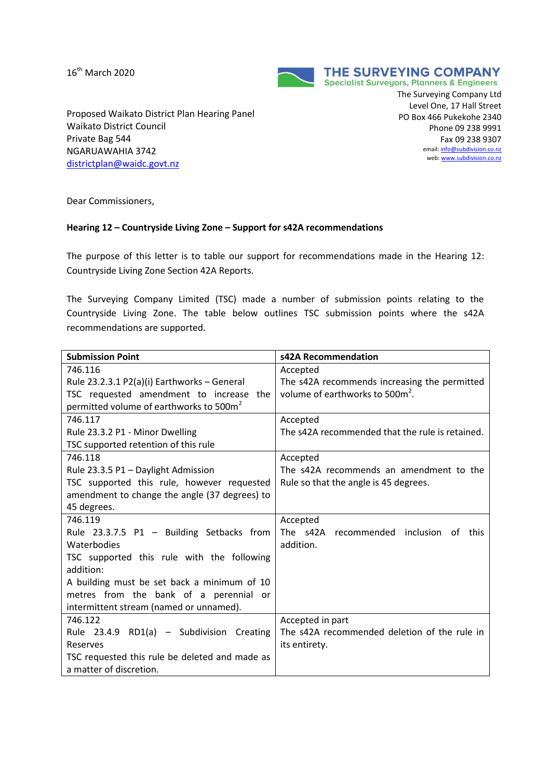16<sup>th</sup> March 2020



Proposed Waikato District Plan Hearing Panel Waikato District Council Private Bag 544 NGARUAWAHIA 3742 [districtplan@waidc.govt.nz](mailto:districtplan@waidc.govt.nz)

The Surveying Company Ltd Level One, 17 Hall Street PO Box 466 Pukekohe 2340 Phone 09 238 9991 Fax 09 238 9307 email: **info@subdivision.co.nz** web[: www.subdivision.co.nz](http://www.subdivision.co.nz/)

Dear Commissioners,

## **Hearing 12 – Countryside Living Zone – Support for s42A recommendations**

The purpose of this letter is to table our support for recommendations made in the Hearing 12: Countryside Living Zone Section 42A Reports.

The Surveying Company Limited (TSC) made a number of submission points relating to the Countryside Living Zone. The table below outlines TSC submission points where the s42A recommendations are supported.

| <b>Submission Point</b>                             | s42A Recommendation                             |
|-----------------------------------------------------|-------------------------------------------------|
| 746.116                                             | Accepted                                        |
| Rule 23.2.3.1 P2(a)(i) Earthworks - General         | The s42A recommends increasing the permitted    |
| TSC requested amendment to increase the             | volume of earthworks to 500m <sup>2</sup> .     |
| permitted volume of earthworks to 500m <sup>2</sup> |                                                 |
| 746.117                                             | Accepted                                        |
| Rule 23.3.2 P1 - Minor Dwelling                     | The s42A recommended that the rule is retained. |
| TSC supported retention of this rule                |                                                 |
| 746.118                                             | Accepted                                        |
| Rule 23.3.5 P1 - Daylight Admission                 | The s42A recommends an amendment to the         |
| TSC supported this rule, however requested          | Rule so that the angle is 45 degrees.           |
| amendment to change the angle (37 degrees) to       |                                                 |
| 45 degrees.                                         |                                                 |
| 746.119                                             | Accepted                                        |
| Rule 23.3.7.5 P1 - Building Setbacks from           | The s42A recommended inclusion of this          |
| Waterbodies                                         | addition.                                       |
| TSC supported this rule with the following          |                                                 |
| addition:                                           |                                                 |
| A building must be set back a minimum of 10         |                                                 |
| metres from the bank of a perennial or              |                                                 |
| intermittent stream (named or unnamed).             |                                                 |
| 746.122                                             | Accepted in part                                |
| Rule 23.4.9 RD1(a) - Subdivision Creating           | The s42A recommended deletion of the rule in    |
| Reserves                                            | its entirety.                                   |
| TSC requested this rule be deleted and made as      |                                                 |
| a matter of discretion.                             |                                                 |